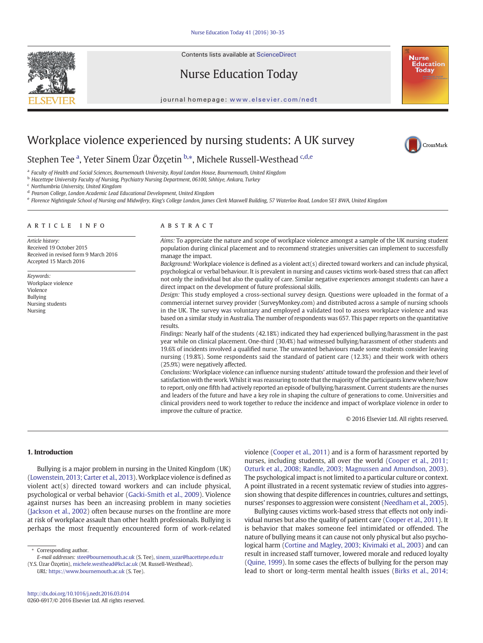Contents lists available at ScienceDirect



Nurse Education Today



#### journal homepage: <www.elsevier.com/nedt>

# Workplace violence experienced by nursing students: A UK survey



Stephen Tee <sup>a</sup>, Yeter Sinem Üzar Özçetin <sup>b,\*</sup>, Michele Russell-Westhead <sup>c,d,e</sup>

<sup>a</sup> Faculty of Health and Social Sciences, Bournemouth University, Royal London House, Bournemouth, United Kingdom

<sup>b</sup> Hacettepe University Faculty of Nursing, Psychiatry Nursing Department, 06100, Sıhhiye, Ankara, Turkey

<sup>c</sup> Northumbria University, United Kingdom

<sup>d</sup> Pearson College, London Academic Lead Educational Development, United Kingdom

<sup>e</sup> Florence Nightingale School of Nursing and Midwifery, King's College London, James Clerk Maxwell Building, 57 Waterloo Road, London SE1 8WA, United Kingdom

#### article info abstract

Received in revised form 9 March 2016

Article history: Received 19 October 2015

Keywords: Workplace violence Violence Bullying Nursing students Nursing

Accepted 15 March 2016

Aims: To appreciate the nature and scope of workplace violence amongst a sample of the UK nursing student population during clinical placement and to recommend strategies universities can implement to successfully manage the impact.

Background: Workplace violence is defined as a violent act(s) directed toward workers and can include physical, psychological or verbal behaviour. It is prevalent in nursing and causes victims work-based stress that can affect not only the individual but also the quality of care. Similar negative experiences amongst students can have a direct impact on the development of future professional skills.

Design: This study employed a cross-sectional survey design. Questions were uploaded in the format of a commercial internet survey provider (SurveyMonkey.com) and distributed across a sample of nursing schools in the UK. The survey was voluntary and employed a validated tool to assess workplace violence and was based on a similar study in Australia. The number of respondents was 657. This paper reports on the quantitative results.

Findings: Nearly half of the students (42.18%) indicated they had experienced bullying/harassment in the past year while on clinical placement. One-third (30.4%) had witnessed bullying/harassment of other students and 19.6% of incidents involved a qualified nurse. The unwanted behaviours made some students consider leaving nursing (19.8%). Some respondents said the standard of patient care (12.3%) and their work with others (25.9%) were negatively affected.

Conclusions: Workplace violence can influence nursing students' attitude toward the profession and their level of satisfaction with the work. Whilst it was reassuring to note that the majority of the participants knew where/how to report, only one fifth had actively reported an episode of bullying/harassment. Current students are the nurses and leaders of the future and have a key role in shaping the culture of generations to come. Universities and clinical providers need to work together to reduce the incidence and impact of workplace violence in order to improve the culture of practice.

© 2016 Elsevier Ltd. All rights reserved.

# 1. Introduction

Bullying is a major problem in nursing in the United Kingdom (UK) [\(Lowenstein, 2013; Carter et al., 2013](#page-5-0)).Workplace violence is defined as violent act(s) directed toward workers and can include physical, psychological or verbal behavior [\(Gacki-Smith et al., 2009\)](#page-5-0). Violence against nurses has been an increasing problem in many societies [\(Jackson et al., 2002](#page-5-0)) often because nurses on the frontline are more at risk of workplace assault than other health professionals. Bullying is perhaps the most frequently encountered form of work-related

URL: <https://www.bournemouth.ac.uk> (S. Tee).

violence [\(Cooper et al., 2011](#page-5-0)) and is a form of harassment reported by nurses, including students, all over the world [\(Cooper et al., 2011;](#page-5-0) [Ozturk et al., 2008; Randle, 2003; Magnussen and Amundson, 2003](#page-5-0)). The psychological impact is not limited to a particular culture or context. A point illustrated in a recent systematic review of studies into aggression showing that despite differences in countries, cultures and settings, nurses' responses to aggression were consistent [\(Needham et al., 2005\)](#page-5-0).

Bullying causes victims work-based stress that effects not only individual nurses but also the quality of patient care ([Cooper et al., 2011\)](#page-5-0). It is behavior that makes someone feel intimidated or offended. The nature of bullying means it can cause not only physical but also psychological harm [\(Cortine and Magley, 2003; Kivimaki et al., 2003](#page-5-0)) and can result in increased staff turnover, lowered morale and reduced loyalty [\(Quine, 1999](#page-5-0)). In some cases the effects of bullying for the person may lead to short or long-term mental health issues ([Birks et al., 2014;](#page-5-0)

<sup>⁎</sup> Corresponding author.

E-mail addresses: stee@bournemouth.ac.uk (S. Tee), sinem\_uzar@hacettepe.edu.tr (Y.S. Üzar Özçetin), [michele.westhead@kcl.ac.uk](mailto:michele.westhead@kcl.ac.uk) (M. Russell-Westhead).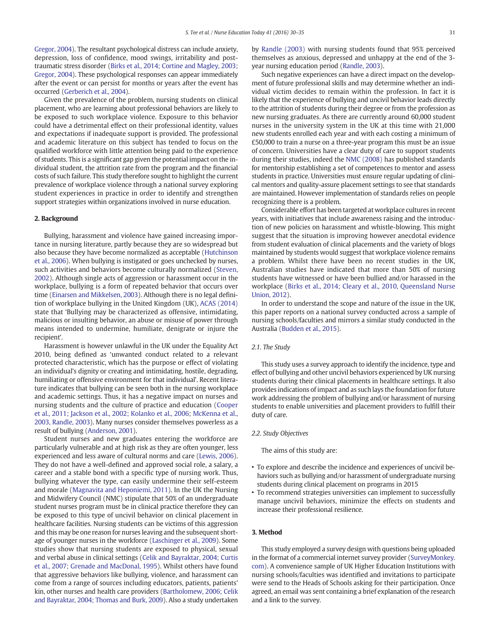[Gregor, 2004](#page-5-0)). The resultant psychological distress can include anxiety, depression, loss of confidence, mood swings, irritability and posttraumatic stress disorder [\(Birks et al., 2014; Cortine and Magley, 2003;](#page-5-0) [Gregor, 2004\)](#page-5-0). These psychological responses can appear immediately after the event or can persist for months or years after the event has occurred [\(Gerberich et al., 2004\)](#page-5-0).

Given the prevalence of the problem, nursing students on clinical placement, who are learning about professional behaviors are likely to be exposed to such workplace violence. Exposure to this behavior could have a detrimental effect on their professional identity, values and expectations if inadequate support is provided. The professional and academic literature on this subject has tended to focus on the qualified workforce with little attention being paid to the experience of students. This is a significant gap given the potential impact on the individual student, the attrition rate from the program and the financial costs of such failure. This study therefore sought to highlight the current prevalence of workplace violence through a national survey exploring student experiences in practice in order to identify and strengthen support strategies within organizations involved in nurse education.

# 2. Background

Bullying, harassment and violence have gained increasing importance in nursing literature, partly because they are so widespread but also because they have become normalized as acceptable [\(Hutchinson](#page-5-0) [et al., 2006](#page-5-0)). When bullying is instigated or goes unchecked by nurses, such activities and behaviors become culturally normalized ([Steven,](#page-5-0) [2002\)](#page-5-0). Although single acts of aggression or harassment occur in the workplace, bullying is a form of repeated behavior that occurs over time [\(Einarsen and Mikkelsen, 2003](#page-5-0)). Although there is no legal definition of workplace bullying in the United Kingdom (UK), [ACAS \(2014\)](#page-5-0) state that 'Bullying may be characterized as offensive, intimidating, malicious or insulting behavior, an abuse or misuse of power through means intended to undermine, humiliate, denigrate or injure the recipient'.

Harassment is however unlawful in the UK under the Equality Act 2010, being defined as 'unwanted conduct related to a relevant protected characteristic, which has the purpose or effect of violating an individual's dignity or creating and intimidating, hostile, degrading, humiliating or offensive environment for that individual'. Recent literature indicates that bullying can be seen both in the nursing workplace and academic settings. Thus, it has a negative impact on nurses and nursing students and the culture of practice and education ([Cooper](#page-5-0) [et al., 2011; Jackson et al., 2002; Kolanko et al., 2006](#page-5-0); [McKenna et al.,](#page-5-0) [2003, Randle, 2003\)](#page-5-0). Many nurses consider themselves powerless as a result of bullying [\(Anderson, 2001](#page-5-0)).

Student nurses and new graduates entering the workforce are particularly vulnerable and at high risk as they are often younger, less experienced and less aware of cultural norms and care ([Lewis, 2006](#page-5-0)). They do not have a well-defined and approved social role, a salary, a career and a stable bond with a specific type of nursing work. Thus, bullying whatever the type, can easily undermine their self-esteem and morale [\(Magnavita and Heponiemi, 2011](#page-5-0)). In the UK the Nursing and Midwifery Council (NMC) stipulate that 50% of an undergraduate student nurses program must be in clinical practice therefore they can be exposed to this type of uncivil behavior on clinical placement in healthcare facilities. Nursing students can be victims of this aggression and this may be one reason for nurses leaving and the subsequent shortage of younger nurses in the workforce ([Laschinger et al., 2009\)](#page-5-0). Some studies show that nursing students are exposed to physical, sexual and verbal abuse in clinical settings ([Celik and Bayraktar, 2004; Curtis](#page-5-0) [et al., 2007; Grenade and MacDonal, 1995](#page-5-0)). Whilst others have found that aggressive behaviors like bullying, violence, and harassment can come from a range of sources including educators, patients, patients' kin, other nurses and health care providers [\(Bartholomew, 2006; Celik](#page-5-0) [and Bayraktar, 2004; Thomas and Burk, 2009](#page-5-0)). Also a study undertaken by [Randle \(2003\)](#page-5-0) with nursing students found that 95% perceived themselves as anxious, depressed and unhappy at the end of the 3 year nursing education period ([Randle, 2003\)](#page-5-0).

Such negative experiences can have a direct impact on the development of future professional skills and may determine whether an individual victim decides to remain within the profession. In fact it is likely that the experience of bullying and uncivil behavior leads directly to the attrition of students during their degree or from the profession as new nursing graduates. As there are currently around 60,000 student nurses in the university system in the UK at this time with 21,000 new students enrolled each year and with each costing a minimum of £50,000 to train a nurse on a three-year program this must be an issue of concern. Universities have a clear duty of care to support students during their studies, indeed the [NMC \(2008\)](#page-5-0) has published standards for mentorship establishing a set of competences to mentor and assess students in practice. Universities must ensure regular updating of clinical mentors and quality-assure placement settings to see that standards are maintained. However implementation of standards relies on people recognizing there is a problem.

Considerable effort has been targeted at workplace cultures in recent years, with initiatives that include awareness raising and the introduction of new policies on harassment and whistle-blowing. This might suggest that the situation is improving however anecdotal evidence from student evaluation of clinical placements and the variety of blogs maintained by students would suggest that workplace violence remains a problem. Whilst there have been no recent studies in the UK, Australian studies have indicated that more than 50% of nursing students have witnessed or have been bullied and/or harassed in the workplace [\(Birks et al., 2014; Cleary et al., 2010, Queensland Nurse](#page-5-0) [Union, 2012\)](#page-5-0).

In order to understand the scope and nature of the issue in the UK, this paper reports on a national survey conducted across a sample of nursing schools/faculties and mirrors a similar study conducted in the Australia ([Budden et al., 2015](#page-5-0)).

# 2.1. The Study

This study uses a survey approach to identify the incidence, type and effect of bullying and other uncivil behaviors experienced by UK nursing students during their clinical placements in healthcare settings. It also provides indications of impact and as such lays the foundation for future work addressing the problem of bullying and/or harassment of nursing students to enable universities and placement providers to fulfill their duty of care.

# 2.2. Study Objectives

The aims of this study are:

- To explore and describe the incidence and experiences of uncivil behaviors such as bullying and/or harassment of undergraduate nursing students during clinical placement on programs in 2015
- To recommend strategies universities can implement to successfully manage uncivil behaviors, minimize the effects on students and increase their professional resilience.

# 3. Method

This study employed a survey design with questions being uploaded in the format of a commercial internet survey provider (SurveyMonkey. com). A convenience sample of UK Higher Education Institutions with nursing schools/faculties was identified and invitations to participate were send to the Heads of Schools asking for their participation. Once agreed, an email was sent containing a brief explanation of the research and a link to the survey.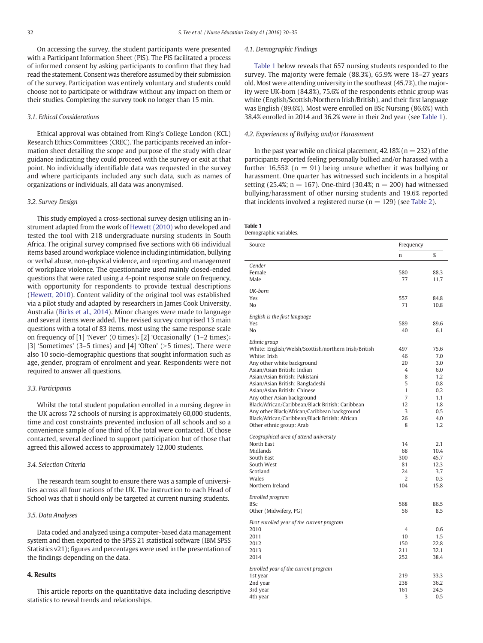On accessing the survey, the student participants were presented with a Participant Information Sheet (PIS). The PIS facilitated a process of informed consent by asking participants to confirm that they had read the statement. Consent was therefore assumed by their submission of the survey. Participation was entirely voluntary and students could choose not to participate or withdraw without any impact on them or their studies. Completing the survey took no longer than 15 min.

# 3.1. Ethical Considerations

Ethical approval was obtained from King's College London (KCL) Research Ethics Committees (CREC). The participants received an information sheet detailing the scope and purpose of the study with clear guidance indicating they could proceed with the survey or exit at that point. No individually identifiable data was requested in the survey and where participants included any such data, such as names of organizations or individuals, all data was anonymised.

# 3.2. Survey Design

This study employed a cross-sectional survey design utilising an instrument adapted from the work of [Hewett \(2010\)](#page-5-0) who developed and tested the tool with 218 undergraduate nursing students in South Africa. The original survey comprised five sections with 66 individual items based around workplace violence including intimidation, bullying or verbal abuse, non-physical violence, and reporting and management of workplace violence. The questionnaire used mainly closed-ended questions that were rated using a 4-point response scale on frequency, with opportunity for respondents to provide textual descriptions [\(Hewett, 2010\)](#page-5-0). Content validity of the original tool was established via a pilot study and adapted by researchers in James Cook University, Australia ([Birks et al., 2014\)](#page-5-0). Minor changes were made to language and several items were added. The revised survey comprised 13 main questions with a total of 83 items, most using the same response scale on frequency of [1] 'Never' (0 times); [2] 'Occasionally' (1–2 times); [3] 'Sometimes'  $(3-5 \times 1)$  and  $[4]$  'Often'  $(>5 \times 1)$ . There were also 10 socio-demographic questions that sought information such as age, gender, program of enrolment and year. Respondents were not required to answer all questions.

# 3.3. Participants

Whilst the total student population enrolled in a nursing degree in the UK across 72 schools of nursing is approximately 60,000 students, time and cost constraints prevented inclusion of all schools and so a convenience sample of one third of the total were contacted. Of those contacted, several declined to support participation but of those that agreed this allowed access to approximately 12,000 students.

#### 3.4. Selection Criteria

The research team sought to ensure there was a sample of universities across all four nations of the UK. The instruction to each Head of School was that ii should only be targeted at current nursing students.

# 3.5. Data Analyses

Data coded and analyzed using a computer-based data management system and then exported to the SPSS 21 statistical software (IBM SPSS Statistics v21); figures and percentages were used in the presentation of the findings depending on the data.

# 4. Results

This article reports on the quantitative data including descriptive statistics to reveal trends and relationships.

#### 4.1. Demographic Findings

Table 1 below reveals that 657 nursing students responded to the survey. The majority were female (88.3%), 65.9% were 18–27 years old. Most were attending university in the southeast (45.7%), the majority were UK-born (84.8%), 75.6% of the respondents ethnic group was white (English/Scottish/Northern Irish/British), and their first language was English (89.6%). Most were enrolled on BSc Nursing (86.6%) with 38.4% enrolled in 2014 and 36.2% were in their 2nd year (see Table 1).

#### 4.2. Experiences of Bullying and/or Harassment

In the past year while on clinical placement,  $42.18\%$  (n = 232) of the participants reported feeling personally bullied and/or harassed with a further 16.55% ( $n = 91$ ) being unsure whether it was bullying or harassment. One quarter has witnessed such incidents in a hospital setting (25.4%;  $n = 167$ ). One-third (30.4%;  $n = 200$ ) had witnessed bullying/harassment of other nursing students and 19.6% reported that incidents involved a registered nurse ( $n = 129$ ) (see [Table 2](#page-3-0)).

# Table 1

Demographic variables.

| Source                                                                                                                                                                                                                                                                                                                                                                                                                                                                  | Frequency                                                                   |                                                                                   |
|-------------------------------------------------------------------------------------------------------------------------------------------------------------------------------------------------------------------------------------------------------------------------------------------------------------------------------------------------------------------------------------------------------------------------------------------------------------------------|-----------------------------------------------------------------------------|-----------------------------------------------------------------------------------|
|                                                                                                                                                                                                                                                                                                                                                                                                                                                                         | n                                                                           | %                                                                                 |
| Gender<br>Female<br>Male                                                                                                                                                                                                                                                                                                                                                                                                                                                | 580<br>77                                                                   | 88.3<br>11.7                                                                      |
| UK-born<br>Yes<br>No                                                                                                                                                                                                                                                                                                                                                                                                                                                    | 557<br>71                                                                   | 84.8<br>10.8                                                                      |
| English is the first language<br>Yes<br>No                                                                                                                                                                                                                                                                                                                                                                                                                              | 589<br>40                                                                   | 89.6<br>6.1                                                                       |
| Ethnic group<br>White: English/Welsh/Scottish/northern Irish/British<br>White: Irish<br>Any other white background<br>Asian/Asian British: Indian<br>Asian/Asian British: Pakistani<br>Asian/Asian British: Bangladeshi<br>Asian/Asian British: Chinese<br>Any other Asian background<br>Black/African/Caribbean/Black British: Caribbean<br>Any other Black/African/Caribbean background<br>Black/African/Caribbean/Black British: African<br>Other ethnic group: Arab | 497<br>46<br>20<br>$\overline{4}$<br>8<br>5<br>1<br>7<br>12<br>3<br>26<br>8 | 75.6<br>7.0<br>3.0<br>6.0<br>1.2<br>0.8<br>0.2<br>1.1<br>1.8<br>0.5<br>4.0<br>1.2 |
| Geographical area of attend university<br>North East<br>Midlands<br>South East<br>South West<br>Scotland<br>Wales<br>Northern Ireland                                                                                                                                                                                                                                                                                                                                   | 14<br>68<br>300<br>81<br>24<br>2<br>104                                     | 2.1<br>10.4<br>45.7<br>12.3<br>3.7<br>0.3<br>15.8                                 |
| Enrolled program<br><b>BSc</b><br>Other (Midwifery, PG)                                                                                                                                                                                                                                                                                                                                                                                                                 | 568<br>56                                                                   | 86.5<br>8.5                                                                       |
| First enrolled year of the current program<br>2010<br>2011<br>2012<br>2013<br>2014                                                                                                                                                                                                                                                                                                                                                                                      | 4<br>10<br>150<br>211<br>252                                                | 0.6<br>1.5<br>22.8<br>32.1<br>38.4                                                |
| Enrolled year of the current program<br>1st year<br>2nd year<br>3rd year<br>4th year                                                                                                                                                                                                                                                                                                                                                                                    | 219<br>238<br>161<br>3                                                      | 33.3<br>36.2<br>24.5<br>0.5                                                       |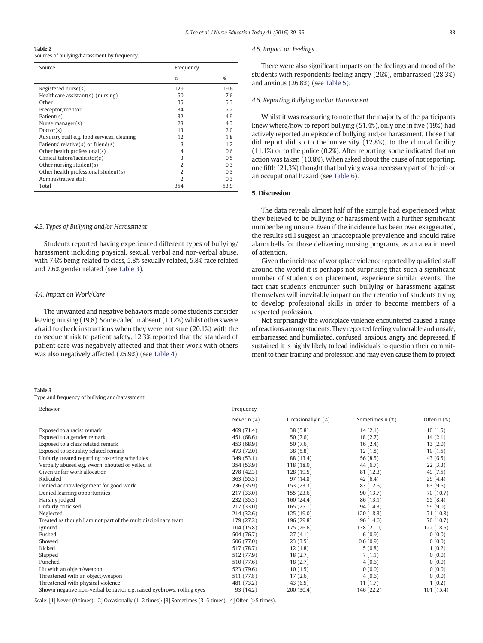# <span id="page-3-0"></span>Table 2

Sources of bullying/harassment by frequency.

| Source                                       | Frequency      |      |
|----------------------------------------------|----------------|------|
|                                              | n              | %    |
| Registered nurse(s)                          | 129            | 19.6 |
| Healthcare assistant(s) (nursing)            | 50             | 7.6  |
| Other                                        | 35             | 5.3  |
| Preceptor/mentor                             | 34             | 5.2  |
| Patient(s)                                   | 32             | 4.9  |
| Nurse manager $(s)$                          | 28             | 4.3  |
| Doctor(s)                                    | 13             | 2.0  |
| Auxiliary staff e.g. food services, cleaning | 12             | 1.8  |
| Patients' relative $(s)$ or friend $(s)$     | 8              | 1.2  |
| Other health professional(s)                 | 4              | 0.6  |
| Clinical tutors/facilitator(s)               | 3              | 0.5  |
| Other nursing student( $s$ )                 | 2              | 0.3  |
| Other health professional student(s)         | $\overline{2}$ | 0.3  |
| Administrative staff                         | $\mathcal{L}$  | 0.3  |
| Total                                        | 354            | 53.9 |

# 4.3. Types of Bullying and/or Harassment

Students reported having experienced different types of bullying/ harassment including physical, sexual, verbal and nor-verbal abuse, with 7.6% being related to class, 5.8% sexually related, 5.8% race related and 7.6% gender related (see Table 3).

#### 4.4. Impact on Work/Care

The unwanted and negative behaviors made some students consider leaving nursing (19.8). Some called in absent (10.2%) whilst others were afraid to check instructions when they were not sure (20.1%) with the consequent risk to patient safety. 12.3% reported that the standard of patient care was negatively affected and that their work with others was also negatively affected (25.9%) (see [Table 4](#page-4-0)).

#### Table 3

Type and frequency of bullying and/harassment.

| 4.5. Impact on Feelings |  |  |
|-------------------------|--|--|
|-------------------------|--|--|

There were also significant impacts on the feelings and mood of the students with respondents feeling angry (26%), embarrassed (28.3%) and anxious (26.8%) (see [Table 5](#page-4-0)).

#### 4.6. Reporting Bullying and/or Harassment

Whilst it was reassuring to note that the majority of the participants knew where/how to report bullying (51.4%), only one in five (19%) had actively reported an episode of bullying and/or harassment. Those that did report did so to the university (12.8%), to the clinical facility (11.1%) or to the police (0.2%). After reporting, some indicated that no action was taken (10.8%). When asked about the cause of not reporting, one fifth (21.3%) thought that bullying was a necessary part of the job or an occupational hazard (see [Table 6](#page-4-0)).

# 5. Discussion

The data reveals almost half of the sample had experienced what they believed to be bullying or harassment with a further significant number being unsure. Even if the incidence has been over exaggerated, the results still suggest an unacceptable prevalence and should raise alarm bells for those delivering nursing programs, as an area in need of attention.

Given the incidence of workplace violence reported by qualified staff around the world it is perhaps not surprising that such a significant number of students on placement, experience similar events. The fact that students encounter such bullying or harassment against themselves will inevitably impact on the retention of students trying to develop professional skills in order to become members of a respected profession.

Not surprisingly the workplace violence encountered caused a range of reactions among students. They reported feeling vulnerable and unsafe, embarrassed and humiliated, confused, anxious, angry and depressed. If sustained it is highly likely to lead individuals to question their commitment to their training and profession and may even cause them to project

| Behavior                                                              | Frequency        |                    |                 |               |
|-----------------------------------------------------------------------|------------------|--------------------|-----------------|---------------|
|                                                                       | Never $n$ $(\%)$ | Occasionally n (%) | Sometimes n (%) | Often $n$ (%) |
| Exposed to a racist remark                                            | 469 (71.4)       | 38(5.8)            | 14(2.1)         | 10(1.5)       |
| Exposed to a gender remark                                            | 451 (68.6)       | 50(7.6)            | 18(2.7)         | 14(2.1)       |
| Exposed to a class related remark                                     | 453 (68.9)       | 50(7.6)            | 16(2.4)         | 13(2.0)       |
| Exposed to sexuality related remark                                   | 473 (72.0)       | 38(5.8)            | 12(1.8)         | 10(1.5)       |
| Unfairly treated regarding rostering schedules                        | 349 (53.1)       | 88 (13.4)          | 56(8.5)         | 43(6.5)       |
| Verbally abused e.g. sworn, shouted or yelled at                      | 354 (53.9)       | 118(18.0)          | 44(6.7)         | 22(3.3)       |
| Given unfair work allocation                                          | 278 (42.3)       | 128 (19.5)         | 81 (12.3)       | 49 (7.5)      |
| Ridiculed                                                             | 363 (55.3)       | 97 (14.8)          | 42(6.4)         | 29(4.4)       |
| Denied acknowledgement for good work                                  | 236(35.9)        | 153(23.3)          | 83 (12.6)       | 63(9.6)       |
| Denied learning opportunities                                         | 217 (33.0)       | 155(23.6)          | 90(13.7)        | 70 (10.7)     |
| Harshly judged                                                        | 232 (35.3)       | 160(24.4)          | 86(13.1)        | 55 (8.4)      |
| Unfairly criticised                                                   | 217(33.0)        | 165(25.1)          | 94 (14.3)       | 59 (9.0)      |
| Neglected                                                             | 214 (32.6)       | 125(19.0)          | 120(18.3)       | 71 (10.8)     |
| Treated as though I am not part of the multidisciplinary team         | 179 (27.2)       | 196 (29.8)         | 96 (14.6)       | 70 (10.7)     |
| Ignored                                                               | 104(15.8)        | 175 (26.6)         | 138 (21.0)      | 122(18.6)     |
| Pushed                                                                | 504 (76.7)       | 27(4.1)            | 6(0.9)          | 0(0.0)        |
| Showed                                                                | 506 (77.0)       | 23(3.5)            | 0.6(0.9)        | 0(0.0)        |
| Kicked                                                                | 517 (78.7)       | 12(1.8)            | 5(0.8)          | 1(0.2)        |
| Slapped                                                               | 512 (77.9)       | 18(2.7)            | 7(1.1)          | 0(0.0)        |
| Punched                                                               | 510 (77.6)       | 18(2.7)            | 4(0.6)          | 0(0.0)        |
| Hit with an object/weapon                                             | 523 (79.6)       | 10(1.5)            | 0(0.0)          | 0(0.0)        |
| Threatened with an object/weapon                                      | 511 (77.8)       | 17(2.6)            | 4(0.6)          | 0(0.0)        |
| Threatened with physical violence                                     | 481 (73.2)       | 43(6.5)            | 11(1.7)         | 1(0.2)        |
| Shown negative non-verbal behavior e.g. raised eyebrows, rolling eyes | 93 (14.2)        | 200 (30.4)         | 146 (22.2)      | 101(15.4)     |

Scale:  $[1]$  Never (0 times);  $[2]$  Occasionally (1–2 times);  $[3]$  Sometimes (3–5 times);  $[4]$  Often (>5 times).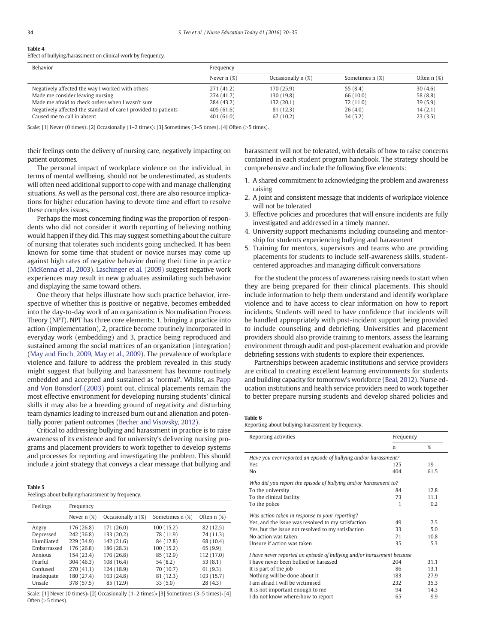# <span id="page-4-0"></span>Table 4

Effect of bullying/harassment on clinical work by frequency.

| Behavior                                                        | Frequency        |                    |                 |                  |
|-----------------------------------------------------------------|------------------|--------------------|-----------------|------------------|
|                                                                 | Never $n$ $(\%)$ | Occasionally n (%) | Sometimes n (%) | Often $n$ $(\%)$ |
| Negatively affected the way I worked with others                | 271 (41.2)       | 170 (25.9)         | 55(8.4)         | 30(4.6)          |
| Made me consider leaving nursing                                | 274(41.7)        | 130 (19.8)         | 66 (10.0)       | 58(8.8)          |
| Made me afraid to check orders when I wasn't sure               | 284 (43.2)       | 132(20.1)          | 72(11.0)        | 39(5.9)          |
| Negatively affected the standard of care I provided to patients | 405(61.6)        | 81 (12.3)          | 26(4.0)         | 14(2.1)          |
| Caused me to call in absent                                     | 401(61.0)        | 67(10.2)           | 34(5.2)         | 23(3.5)          |

Scale:  $[1]$  Never (0 times);  $[2]$  Occasionally  $(1-2$  times);  $[3]$  Sometimes  $(3-5$  times);  $[4]$  Often  $(>5$  times).

their feelings onto the delivery of nursing care, negatively impacting on patient outcomes.

The personal impact of workplace violence on the individual, in terms of mental wellbeing, should not be underestimated, as students will often need additional support to cope with and manage challenging situations. As well as the personal cost, there are also resource implications for higher education having to devote time and effort to resolve these complex issues.

Perhaps the most concerning finding was the proportion of respondents who did not consider it worth reporting of believing nothing would happen if they did. This may suggest something about the culture of nursing that tolerates such incidents going unchecked. It has been known for some time that student or novice nurses may come up against high rates of negative behavior during their time in practice [\(McKenna et al., 2003\)](#page-5-0). [Laschinger et al. \(2009\)](#page-5-0) suggest negative work experiences may result in new graduates assimilating such behavior and displaying the same toward others.

One theory that helps illustrate how such practice behavior, irrespective of whether this is positive or negative, becomes embedded into the day-to-day work of an organization is Normalisation Process Theory (NPT). NPT has three core elements; 1, bringing a practice into action (implementation), 2, practice become routinely incorporated in everyday work (embedding) and 3, practice being reproduced and sustained among the social matrices of an organization (integration) [\(May and Finch, 2009, May et al., 2009\)](#page-5-0). The prevalence of workplace violence and failure to address the problem revealed in this study might suggest that bullying and harassment has become routinely embedded and accepted and sustained as 'normal'. Whilst, as [Papp](#page-5-0) [and Von Bonsdorf \(2003\)](#page-5-0) point out, clinical placements remain the most effective environment for developing nursing students' clinical skills it may also be a breeding ground of negativity and disturbing team dynamics leading to increased burn out and alienation and potentially poorer patient outcomes ([Becher and Visovsky, 2012](#page-5-0)).

Critical to addressing bullying and harassment in practice is to raise awareness of its existence and for university's delivering nursing programs and placement providers to work together to develop systems and processes for reporting and investigating the problem. This should include a joint strategy that conveys a clear message that bullying and

|--|--|

Feelings about bullying/harassment by frequency.

| Feelings    | Frequency        |                    |                      |               |
|-------------|------------------|--------------------|----------------------|---------------|
|             | Never $n$ $(\%)$ | Occasionally n (%) | Sometimes $n$ $(\%)$ | Often $n$ (%) |
| Angry       | 176 (26.8)       | 171 (26.0)         | 100(15.2)            | 82 (12.5)     |
| Depressed   | 242 (36.8)       | 133 (20.2)         | 78 (11.9)            | 74 (11.3)     |
| Humiliated  | 229 (34.9)       | 142 (21.6)         | 84 (12.8)            | 68 (10.4)     |
| Embarrassed | 176 (26.8)       | 186 (28.3)         | 100(15.2)            | 65(9.9)       |
| Anxious     | 154 (23.4)       | 176 (26.8)         | 85 (12.9)            | 112 (17.0)    |
| Fearful     | 304 (46.3)       | 108 (16.4)         | 54 (8.2)             | 53(8.1)       |
| Confused    | 270(41,1)        | 124 (18.9)         | 70 (10.7)            | 61(9.3)       |
| Inadequate  | 180 (27.4)       | 163 (24.8)         | 81 (12.3)            | 103 (15.7)    |
| Unsafe      | 378 (57.5)       | 85 (12.9)          | 33(5.0)              | 28(4.3)       |

Scale: [1] Never (0 times); [2] Occasionally (1–2 times); [3] Sometimes (3–5 times); [4] Often  $(>5$  times).

harassment will not be tolerated, with details of how to raise concerns contained in each student program handbook. The strategy should be comprehensive and include the following five elements:

- 1. A shared commitment to acknowledging the problem and awareness raising
- 2. A joint and consistent message that incidents of workplace violence will not be tolerated
- 3. Effective policies and procedures that will ensure incidents are fully investigated and addressed in a timely manner.
- 4. University support mechanisms including counseling and mentorship for students experiencing bullying and harassment
- 5. Training for mentors, supervisors and teams who are providing placements for students to include self-awareness skills, studentcentered approaches and managing difficult conversations

For the student the process of awareness raising needs to start when they are being prepared for their clinical placements. This should include information to help them understand and identify workplace violence and to have access to clear information on how to report incidents. Students will need to have confidence that incidents will be handled appropriately with post-incident support being provided to include counseling and debriefing. Universities and placement providers should also provide training to mentors, assess the learning environment through audit and post-placement evaluation and provide debriefing sessions with students to explore their experiences.

Partnerships between academic institutions and service providers are critical to creating excellent learning environments for students and building capacity for tomorrow's workforce [\(Beal, 2012](#page-5-0)). Nurse education institutions and health service providers need to work together to better prepare nursing students and develop shared policies and

#### Table 6

Reporting about bullying/harassment by frequency.

| Reporting activities                                                   | Frequency |      |  |  |
|------------------------------------------------------------------------|-----------|------|--|--|
|                                                                        | n         | %    |  |  |
| Have you ever reported an episode of bullying and/or harassment?       |           |      |  |  |
| Yes                                                                    | 125       | 19   |  |  |
| No                                                                     | 404       | 61.5 |  |  |
| Who did you report the episode of bullying and/or harassment to?       |           |      |  |  |
| To the university                                                      | 84        | 12.8 |  |  |
| To the clinical facility                                               | 73        | 11.1 |  |  |
| To the police                                                          | 1         | 0.2  |  |  |
| Was action taken in response to your reporting?                        |           |      |  |  |
| Yes, and the issue was resolved to my satisfaction                     | 49        | 7.5  |  |  |
| Yes, but the issue not resolved to my satisfaction                     | 33        | 5.0  |  |  |
| No action was taken                                                    | 71        | 10.8 |  |  |
| Unsure if action was taken                                             | 35        | 5.3  |  |  |
| I have never reported an episode of bullying and/or harassment because |           |      |  |  |
| I have never been bullied or harassed                                  | 204       | 31.1 |  |  |
| It is part of the job                                                  | 86        | 13.1 |  |  |
| Nothing will be done about it                                          | 183       | 27.9 |  |  |
| Lam afraid Lwill be victimised                                         | 232       | 35.3 |  |  |
| It is not important enough to me                                       | 94        | 14.3 |  |  |
| I do not know where/how to report                                      | 65        | 9.9  |  |  |